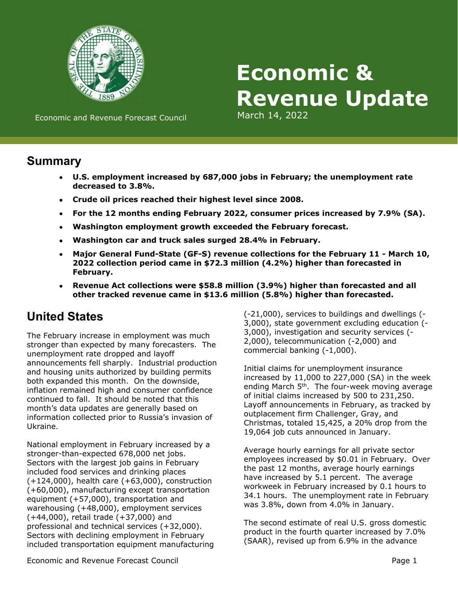

# **Economic & Revenue Update**

Economic and Revenue Forecast Council March 14, 2022

## **Summary**

- **U.S. employment increased by 687,000 jobs in February; the unemployment rate decreased to 3.8%.**
- **Crude oil prices reached their highest level since 2008.**
- **For the 12 months ending February 2022, consumer prices increased by 7.9% (SA).**
- **Washington employment growth exceeded the February forecast.**
- **Washington car and truck sales surged 28.4% in February.**
- **Major General Fund-State (GF-S) revenue collections for the February 11 March 10, 2022 collection period came in \$72.3 million (4.2%) higher than forecasted in February.**
- **Revenue Act collections were \$58.8 million (3.9%) higher than forecasted and all other tracked revenue came in \$13.6 million (5.8%) higher than forecasted.**

# **United States**

The February increase in employment was much stronger than expected by many forecasters. The unemployment rate dropped and layoff announcements fell sharply. Industrial production and housing units authorized by building permits both expanded this month. On the downside, inflation remained high and consumer confidence continued to fall. It should be noted that this month's data updates are generally based on information collected prior to Russia's invasion of Ukraine.

National employment in February increased by a stronger-than-expected 678,000 net jobs. Sectors with the largest job gains in February included food services and drinking places (+124,000), health care (+63,000), construction (+60,000), manufacturing except transportation equipment (+57,000), transportation and warehousing (+48,000), employment services (+44,000), retail trade (+37,000) and professional and technical services (+32,000). Sectors with declining employment in February included transportation equipment manufacturing

(-21,000), services to buildings and dwellings (- 3,000), state government excluding education (- 3,000), investigation and security services (- 2,000), telecommunication (-2,000) and commercial banking (-1,000).

Initial claims for unemployment insurance increased by 11,000 to 227,000 (SA) in the week ending March 5<sup>th</sup>. The four-week moving average of initial claims increased by 500 to 231,250. Layoff announcements in February, as tracked by outplacement firm Challenger, Gray, and Christmas, totaled 15,425, a 20% drop from the 19,064 job cuts announced in January.

Average hourly earnings for all private sector employees increased by \$0.01 in February. Over the past 12 months, average hourly earnings have increased by 5.1 percent. The average workweek in February increased by 0.1 hours to 34.1 hours. The unemployment rate in February was 3.8%, down from 4.0% in January.

The second estimate of real U.S. gross domestic product in the fourth quarter increased by 7.0% (SAAR), revised up from 6.9% in the advance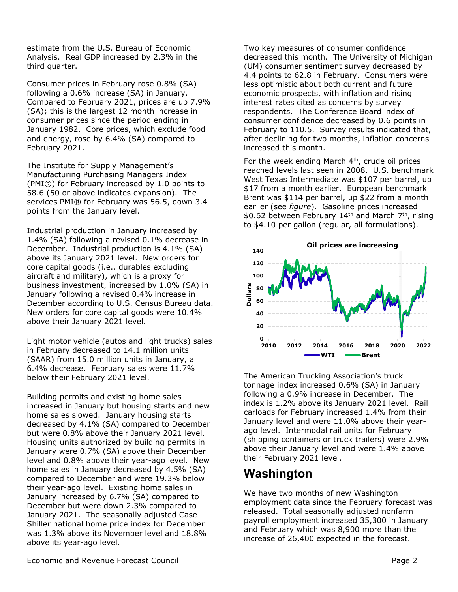estimate from the U.S. Bureau of Economic Analysis. Real GDP increased by 2.3% in the third quarter.

Consumer prices in February rose 0.8% (SA) following a 0.6% increase (SA) in January. Compared to February 2021, prices are up 7.9% (SA); this is the largest 12 month increase in consumer prices since the period ending in January 1982. Core prices, which exclude food and energy, rose by 6.4% (SA) compared to February 2021.

The Institute for Supply Management's Manufacturing Purchasing Managers Index (PMI®) for February increased by 1.0 points to 58.6 (50 or above indicates expansion). The services PMI® for February was 56.5, down 3.4 points from the January level.

Industrial production in January increased by 1.4% (SA) following a revised 0.1% decrease in December. Industrial production is 4.1% (SA) above its January 2021 level. New orders for core capital goods (i.e., durables excluding aircraft and military), which is a proxy for business investment, increased by 1.0% (SA) in January following a revised 0.4% increase in December according to U.S. Census Bureau data. New orders for core capital goods were 10.4% above their January 2021 level.

Light motor vehicle (autos and light trucks) sales in February decreased to 14.1 million units (SAAR) from 15.0 million units in January, a 6.4% decrease. February sales were 11.7% below their February 2021 level.

Building permits and existing home sales increased in January but housing starts and new home sales slowed. January housing starts decreased by 4.1% (SA) compared to December but were 0.8% above their January 2021 level. Housing units authorized by building permits in January were 0.7% (SA) above their December level and 0.8% above their year-ago level. New home sales in January decreased by 4.5% (SA) compared to December and were 19.3% below their year-ago level. Existing home sales in January increased by 6.7% (SA) compared to December but were down 2.3% compared to January 2021. The seasonally adjusted Case-Shiller national home price index for December was 1.3% above its November level and 18.8% above its year-ago level.

Two key measures of consumer confidence decreased this month. The University of Michigan (UM) consumer sentiment survey decreased by 4.4 points to 62.8 in February. Consumers were less optimistic about both current and future economic prospects, with inflation and rising interest rates cited as concerns by survey respondents. The Conference Board index of consumer confidence decreased by 0.6 points in February to 110.5. Survey results indicated that, after declining for two months, inflation concerns increased this month.

For the week ending March 4<sup>th</sup>, crude oil prices reached levels last seen in 2008. U.S. benchmark West Texas Intermediate was \$107 per barrel, up \$17 from a month earlier. European benchmark Brent was \$114 per barrel, up \$22 from a month earlier (see *figure*). Gasoline prices increased \$0.62 between February 14<sup>th</sup> and March 7<sup>th</sup>, rising to \$4.10 per gallon (regular, all formulations).



The American Trucking Association's truck tonnage index increased 0.6% (SA) in January following a 0.9% increase in December. The index is 1.2% above its January 2021 level. Rail carloads for February increased 1.4% from their January level and were 11.0% above their yearago level. Intermodal rail units for February (shipping containers or truck trailers) were 2.9% above their January level and were 1.4% above their February 2021 level.

# **Washington**

We have two months of new Washington employment data since the February forecast was released. Total seasonally adjusted nonfarm payroll employment increased 35,300 in January and February which was 8,900 more than the increase of 26,400 expected in the forecast.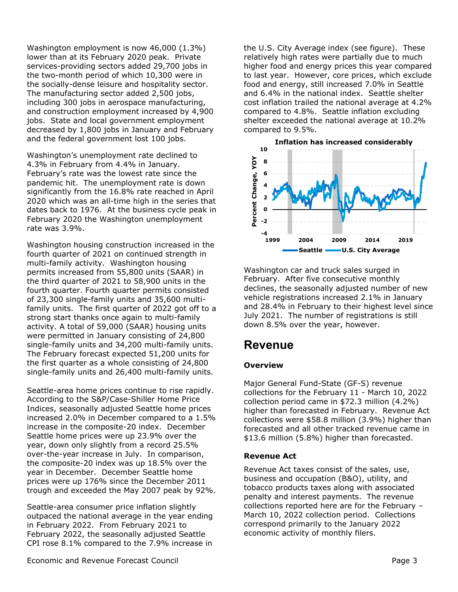Washington employment is now 46,000 (1.3%) lower than at its February 2020 peak. Private services-providing sectors added 29,700 jobs in the two-month period of which 10,300 were in the socially-dense leisure and hospitality sector. The manufacturing sector added 2,500 jobs, including 300 jobs in aerospace manufacturing, and construction employment increased by 4,900 jobs. State and local government employment decreased by 1,800 jobs in January and February and the federal government lost 100 jobs.

Washington's unemployment rate declined to 4.3% in February from 4.4% in January. February's rate was the lowest rate since the pandemic hit. The unemployment rate is down significantly from the 16.8% rate reached in April 2020 which was an all-time high in the series that dates back to 1976. At the business cycle peak in February 2020 the Washington unemployment rate was 3.9%.

Washington housing construction increased in the fourth quarter of 2021 on continued strength in multi-family activity. Washington housing permits increased from 55,800 units (SAAR) in the third quarter of 2021 to 58,900 units in the fourth quarter. Fourth quarter permits consisted of 23,300 single-family units and 35,600 multifamily units. The first quarter of 2022 got off to a strong start thanks once again to multi-family activity. A total of 59,000 (SAAR) housing units were permitted in January consisting of 24,800 single-family units and 34,200 multi-family units. The February forecast expected 51,200 units for the first quarter as a whole consisting of 24,800 single-family units and 26,400 multi-family units.

Seattle-area home prices continue to rise rapidly. According to the S&P/Case-Shiller Home Price Indices, seasonally adjusted Seattle home prices increased 2.0% in December compared to a 1.5% increase in the composite-20 index. December Seattle home prices were up 23.9% over the year, down only slightly from a record 25.5% over-the-year increase in July. In comparison, the composite-20 index was up 18.5% over the year in December. December Seattle home prices were up 176% since the December 2011 trough and exceeded the May 2007 peak by 92%.

Seattle-area consumer price inflation slightly outpaced the national average in the year ending in February 2022. From February 2021 to February 2022, the seasonally adjusted Seattle CPI rose 8.1% compared to the 7.9% increase in

the U.S. City Average index (see figure). These relatively high rates were partially due to much higher food and energy prices this year compared to last year. However, core prices, which exclude food and energy, still increased 7.0% in Seattle and 6.4% in the national index. Seattle shelter cost inflation trailed the national average at 4.2% compared to 4.8%. Seattle inflation excluding shelter exceeded the national average at 10.2% compared to 9.5%.



Washington car and truck sales surged in February. After five consecutive monthly declines, the seasonally adjusted number of new vehicle registrations increased 2.1% in January and 28.4% in February to their highest level since July 2021. The number of registrations is still down 8.5% over the year, however.

# **Revenue**

## **Overview**

Major General Fund-State (GF-S) revenue collections for the February 11 - March 10, 2022 collection period came in \$72.3 million (4.2%) higher than forecasted in February. Revenue Act collections were \$58.8 million (3.9%) higher than forecasted and all other tracked revenue came in \$13.6 million (5.8%) higher than forecasted.

## **Revenue Act**

Revenue Act taxes consist of the sales, use, business and occupation (B&O), utility, and tobacco products taxes along with associated penalty and interest payments. The revenue collections reported here are for the February – March 10, 2022 collection period. Collections correspond primarily to the January 2022 economic activity of monthly filers.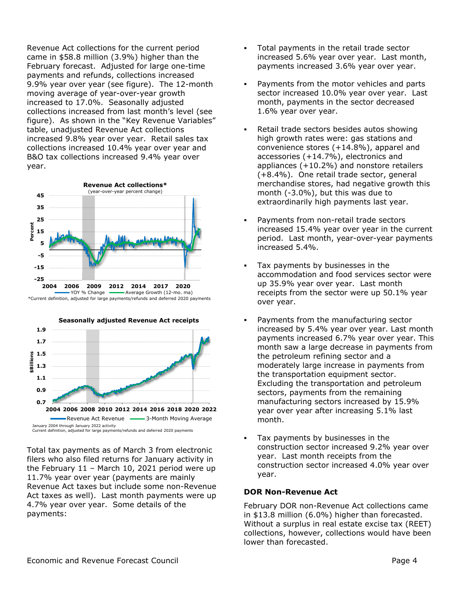Revenue Act collections for the current period came in \$58.8 million (3.9%) higher than the February forecast. Adjusted for large one-time payments and refunds, collections increased 9.9% year over year (see figure). The 12-month moving average of year-over-year growth increased to 17.0%. Seasonally adjusted collections increased from last month's level (see figure). As shown in the "Key Revenue Variables" table, unadjusted Revenue Act collections increased 9.8% year over year. Retail sales tax collections increased 10.4% year over year and B&O tax collections increased 9.4% year over year.





Total tax payments as of March 3 from electronic filers who also filed returns for January activity in the February 11 – March 10, 2021 period were up 11.7% year over year (payments are mainly Revenue Act taxes but include some non-Revenue Act taxes as well). Last month payments were up 4.7% year over year. Some details of the payments:

- Total payments in the retail trade sector increased 5.6% year over year. Last month, payments increased 3.6% year over year.
- Payments from the motor vehicles and parts sector increased 10.0% year over year. Last month, payments in the sector decreased 1.6% year over year.
- Retail trade sectors besides autos showing high growth rates were: gas stations and convenience stores (+14.8%), apparel and accessories (+14.7%), electronics and appliances (+10.2%) and nonstore retailers (+8.4%). One retail trade sector, general merchandise stores, had negative growth this month (-3.0%), but this was due to extraordinarily high payments last year.
- Payments from non-retail trade sectors increased 15.4% year over year in the current period. Last month, year-over-year payments increased 5.4%.
- Tax payments by businesses in the accommodation and food services sector were up 35.9% year over year. Last month receipts from the sector were up 50.1% year over year.
- Payments from the manufacturing sector increased by 5.4% year over year. Last month payments increased 6.7% year over year. This month saw a large decrease in payments from the petroleum refining sector and a moderately large increase in payments from the transportation equipment sector. Excluding the transportation and petroleum sectors, payments from the remaining manufacturing sectors increased by 15.9% year over year after increasing 5.1% last month.
- Tax payments by businesses in the construction sector increased 9.2% year over year. Last month receipts from the construction sector increased 4.0% year over year.

## **DOR Non-Revenue Act**

February DOR non-Revenue Act collections came in \$13.8 million (6.0%) higher than forecasted. Without a surplus in real estate excise tax (REET) collections, however, collections would have been lower than forecasted.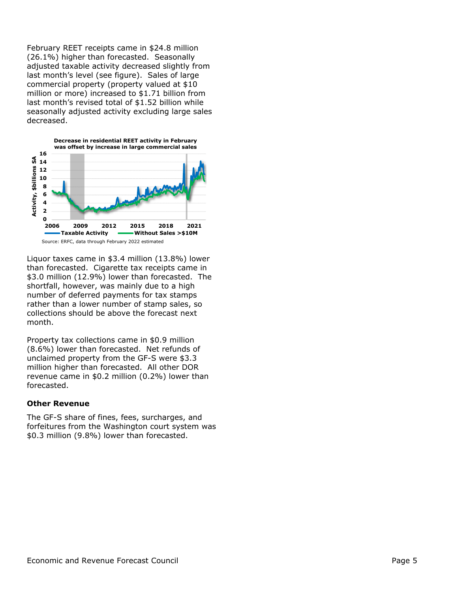February REET receipts came in \$24.8 million (26.1%) higher than forecasted. Seasonally adjusted taxable activity decreased slightly from last month's level (see figure). Sales of large commercial property (property valued at \$10 million or more) increased to \$1.71 billion from last month's revised total of \$1.52 billion while seasonally adjusted activity excluding large sales decreased.



Liquor taxes came in \$3.4 million (13.8%) lower than forecasted. Cigarette tax receipts came in \$3.0 million (12.9%) lower than forecasted. The shortfall, however, was mainly due to a high number of deferred payments for tax stamps rather than a lower number of stamp sales, so collections should be above the forecast next month.

Property tax collections came in \$0.9 million (8.6%) lower than forecasted. Net refunds of unclaimed property from the GF-S were \$3.3 million higher than forecasted. All other DOR revenue came in \$0.2 million (0.2%) lower than forecasted.

#### **Other Revenue**

The GF-S share of fines, fees, surcharges, and forfeitures from the Washington court system was \$0.3 million (9.8%) lower than forecasted.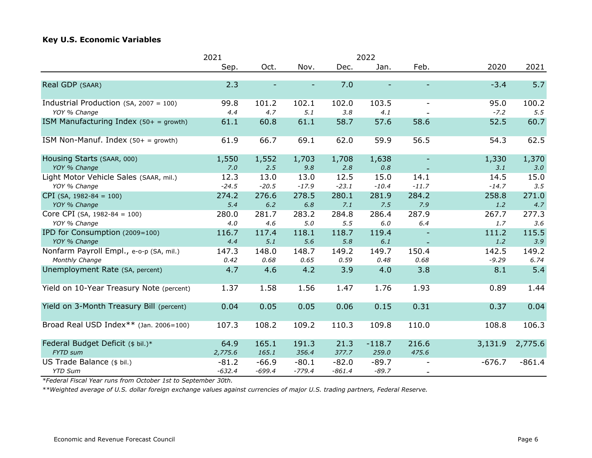## **Key U.S. Economic Variables**

|                                           | 2022<br>2021 |          |          |          |          |                          |          |          |  |  |
|-------------------------------------------|--------------|----------|----------|----------|----------|--------------------------|----------|----------|--|--|
|                                           | Sep.         | Oct.     | Nov.     | Dec.     | Jan.     | Feb.                     | 2020     | 2021     |  |  |
| Real GDP (SAAR)                           | 2.3          |          |          | 7.0      |          |                          | $-3.4$   | 5.7      |  |  |
| Industrial Production (SA, 2007 = 100)    | 99.8         | 101.2    | 102.1    | 102.0    | 103.5    | $\overline{\phantom{a}}$ | 95.0     | 100.2    |  |  |
| YOY % Change                              | 4.4          | 4.7      | 5.1      | 3.8      | 4.1      |                          | $-7.2$   | 5.5      |  |  |
| ISM Manufacturing Index $(50 + =$ growth) | 61.1         | 60.8     | 61.1     | 58.7     | 57.6     | 58.6                     | 52.5     | 60.7     |  |  |
| ISM Non-Manuf. Index $(50 + =$ growth)    | 61.9         | 66.7     | 69.1     | 62.0     | 59.9     | 56.5                     | 54.3     | 62.5     |  |  |
| Housing Starts (SAAR, 000)                | 1,550        | 1,552    | 1,703    | 1,708    | 1,638    |                          | 1,330    | 1,370    |  |  |
| YOY % Change                              | 7.0          | 2.5      | 9.8      | 2.8      | 0.8      |                          | 3.1      | 3.0      |  |  |
| Light Motor Vehicle Sales (SAAR, mil.)    | 12.3         | 13.0     | 13.0     | 12.5     | 15.0     | 14.1                     | 14.5     | 15.0     |  |  |
| YOY % Change                              | $-24.5$      | $-20.5$  | $-17.9$  | $-23.1$  | $-10.4$  | $-11.7$                  | $-14.7$  | 3.5      |  |  |
| $CPI$ (SA, 1982-84 = 100)                 | 274.2        | 276.6    | 278.5    | 280.1    | 281.9    | 284.2                    | 258.8    | 271.0    |  |  |
| YOY % Change                              | 5.4          | $6.2$    | $6.8\,$  | 7.1      | 7.5      | 7.9                      | $1.2\,$  | 4.7      |  |  |
| Core CPI (SA, 1982-84 = 100)              | 280.0        | 281.7    | 283.2    | 284.8    | 286.4    | 287.9                    | 267.7    | 277.3    |  |  |
| YOY % Change                              | 4.0          | 4.6      | 5.0      | 5.5      | $6.0$    | 6.4                      | 1.7      | 3.6      |  |  |
| IPD for Consumption (2009=100)            | 116.7        | 117.4    | 118.1    | 118.7    | 119.4    |                          | 111.2    | 115.5    |  |  |
| YOY % Change                              | 4.4          | 5.1      | 5.6      | 5.8      | $6.1\,$  |                          | 1.2      | 3.9      |  |  |
| Nonfarm Payroll Empl., e-o-p (SA, mil.)   | 147.3        | 148.0    | 148.7    | 149.2    | 149.7    | 150.4                    | 142.5    | 149.2    |  |  |
| Monthly Change                            | 0.42         | 0.68     | 0.65     | 0.59     | 0.48     | 0.68                     | $-9.29$  | 6.74     |  |  |
| Unemployment Rate (SA, percent)           | 4.7          | 4.6      | 4.2      | 3.9      | 4.0      | 3.8                      | 8.1      | 5.4      |  |  |
| Yield on 10-Year Treasury Note (percent)  | 1.37         | 1.58     | 1.56     | 1.47     | 1.76     | 1.93                     | 0.89     | 1.44     |  |  |
| Yield on 3-Month Treasury Bill (percent)  | 0.04         | 0.05     | 0.05     | 0.06     | 0.15     | 0.31                     | 0.37     | 0.04     |  |  |
| Broad Real USD Index** (Jan. 2006=100)    | 107.3        | 108.2    | 109.2    | 110.3    | 109.8    | 110.0                    | 108.8    | 106.3    |  |  |
| Federal Budget Deficit (\$ bil.)*         | 64.9         | 165.1    | 191.3    | 21.3     | $-118.7$ | 216.6                    | 3,131.9  | 2,775.6  |  |  |
| FYTD sum                                  | 2,775.6      | 165.1    | 356.4    | 377.7    | 259.0    | 475.6                    |          |          |  |  |
| US Trade Balance (\$ bil.)                | $-81.2$      | $-66.9$  | $-80.1$  | $-82.0$  | $-89.7$  |                          | $-676.7$ | $-861.4$ |  |  |
| <b>YTD Sum</b>                            | $-632.4$     | $-699.4$ | $-779.4$ | $-861.4$ | $-89.7$  | $\overline{\phantom{a}}$ |          |          |  |  |

*\*Federal Fiscal Year runs from October 1st to September 30th.*

*\*\*Weighted average of U.S. dollar foreign exchange values against currencies of major U.S. trading partners, Federal Reserve.*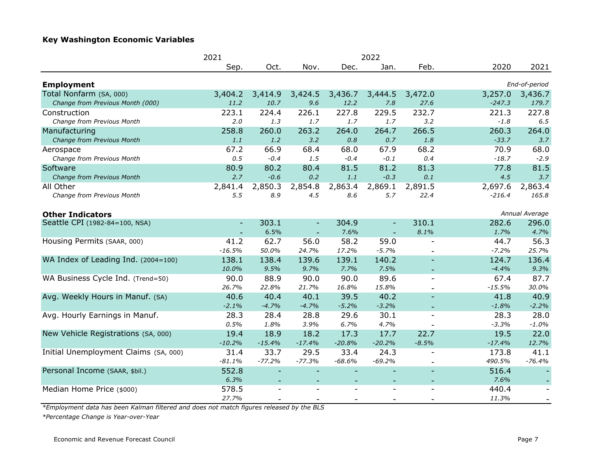## **Key Washington Economic Variables**

|                                       | 2021<br>2022             |                |                          |                          |          |                          |          |                          |
|---------------------------------------|--------------------------|----------------|--------------------------|--------------------------|----------|--------------------------|----------|--------------------------|
|                                       | Sep.                     | Oct.           | Nov.                     | Dec.                     | Jan.     | Feb.                     | 2020     | 2021                     |
| <b>Employment</b>                     |                          |                |                          |                          |          |                          |          | End-of-period            |
| Total Nonfarm (SA, 000)               | 3,404.2                  | 3,414.9        | 3,424.5                  | 3,436.7                  | 3,444.5  | 3,472.0                  | 3,257.0  | 3,436.7                  |
| Change from Previous Month (000)      | 11.2                     | 10.7           | 9.6                      | 12.2                     | 7.8      | 27.6                     | $-247.3$ | 179.7                    |
| Construction                          | 223.1                    | 224.4          | 226.1                    | 227.8                    | 229.5    | 232.7                    | 221.3    | 227.8                    |
| Change from Previous Month            | 2.0                      | 1.3            | 1.7                      | 1.7                      | 1.7      | 3.2                      | $-1.8$   | 6.5                      |
| Manufacturing                         | 258.8                    | 260.0          | 263.2                    | 264.0                    | 264.7    | 266.5                    | 260.3    | 264.0                    |
| Change from Previous Month            | 1.1                      | 1.2            | 3.2                      | 0.8                      | 0.7      | 1.8                      | $-33.7$  | 3.7                      |
| Aerospace                             | 67.2                     | 66.9           | 68.4                     | 68.0                     | 67.9     | 68.2                     | 70.9     | 68.0                     |
| Change from Previous Month            | 0.5                      | $-0.4$         | 1.5                      | $-0.4$                   | $-0.1$   | 0.4                      | $-18.7$  | $-2.9$                   |
| Software                              | 80.9                     | 80.2           | 80.4                     | 81.5                     | 81.2     | 81.3                     | 77.8     | 81.5                     |
| Change from Previous Month            | 2.7                      | $-0.6$         | 0.2                      | 1.1                      | $-0.3$   | 0.1                      | 4.5      | 3.7                      |
| All Other                             | 2,841.4                  | 2,850.3        | 2,854.8                  | 2,863.4                  | 2,869.1  | 2,891.5                  | 2,697.6  | 2,863.4                  |
| Change from Previous Month            | 5.5                      | 8.9            | 4.5                      | 8.6                      | 5.7      | 22.4                     | $-216.4$ | 165.8                    |
| <b>Other Indicators</b>               |                          |                |                          |                          |          |                          |          | Annual Average           |
| Seattle CPI (1982-84=100, NSA)        | $\overline{\phantom{a}}$ | 303.1          | $\overline{\phantom{a}}$ | 304.9                    |          | 310.1                    | 282.6    | 296.0                    |
|                                       |                          | 6.5%           |                          | 7.6%                     |          | 8.1%                     | 1.7%     | 4.7%                     |
| Housing Permits (SAAR, 000)           | 41.2                     | 62.7           | 56.0                     | 58.2                     | 59.0     | $\overline{\phantom{a}}$ | 44.7     | 56.3                     |
|                                       | $-16.5%$                 | 50.0%          | 24.7%                    | 17.2%                    | $-5.7%$  |                          | $-7.2%$  | 25.7%                    |
| WA Index of Leading Ind. (2004=100)   | 138.1                    | 138.4          | 139.6                    | 139.1                    | 140.2    |                          | 124.7    | 136.4                    |
|                                       | 10.0%                    | 9.5%           | 9.7%                     | 7.7%                     | 7.5%     |                          | $-4.4%$  | 9.3%                     |
| WA Business Cycle Ind. (Trend=50)     | 90.0                     | 88.9           | 90.0                     | 90.0                     | 89.6     | $\overline{\phantom{a}}$ | 67.4     | 87.7                     |
|                                       | 26.7%                    | 22.8%          | 21.7%                    | 16.8%                    | 15.8%    |                          | $-15.5%$ | 30.0%                    |
| Avg. Weekly Hours in Manuf. (SA)      | 40.6                     | 40.4           | 40.1                     | 39.5                     | 40.2     |                          | 41.8     | 40.9                     |
|                                       | $-2.1%$                  | $-4.7%$        | $-4.7%$                  | $-5.2%$                  | $-3.2%$  |                          | $-1.8%$  | $-2.2%$                  |
| Avg. Hourly Earnings in Manuf.        | 28.3                     | 28.4           | 28.8                     | 29.6                     | 30.1     | $\blacksquare$           | 28.3     | 28.0                     |
|                                       | 0.5%                     | 1.8%           | 3.9%                     | 6.7%                     | 4.7%     |                          | $-3.3%$  | $-1.0%$                  |
| New Vehicle Registrations (SA, 000)   | 19.4                     | 18.9           | 18.2                     | 17.3                     | 17.7     | 22.7                     | 19.5     | 22.0                     |
|                                       | $-10.2%$                 | $-15.4%$       | $-17.4%$                 | $-20.8%$                 | $-20.2%$ | $-8.5%$                  | $-17.4%$ | 12.7%                    |
| Initial Unemployment Claims (SA, 000) | 31.4                     | 33.7           | 29.5                     | 33.4                     | 24.3     | $\overline{\phantom{0}}$ | 173.8    | 41.1                     |
|                                       | $-81.1%$                 | $-77.2%$       | $-77.3%$                 | $-68.6%$                 | $-69.2%$ | $\overline{a}$           | 490.5%   | $-76.4%$                 |
| Personal Income (SAAR, \$bil.)        | 552.8                    |                |                          | $\overline{\phantom{0}}$ |          | $\equiv$                 | 516.4    |                          |
|                                       | 6.3%                     |                |                          |                          |          |                          | 7.6%     |                          |
| Median Home Price (\$000)             | 578.5                    | $\overline{a}$ | $\blacksquare$           |                          |          | $\blacksquare$           | 440.4    | $\sim$                   |
|                                       | 27.7%                    |                |                          |                          |          |                          | 11.3%    | $\overline{\phantom{a}}$ |

*\*Employment data has been Kalman filtered and does not match figures released by the BLS*

*\*Percentage Change is Year-over-Year*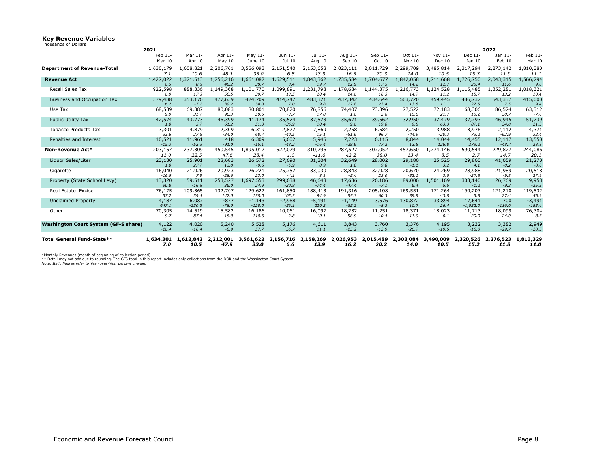#### **Key Revenue Variables**

| Thousands of Dollars |  |  |  |
|----------------------|--|--|--|
|----------------------|--|--|--|

|                                      | 2021           |                   |                   |                      |                     |                   |                     |                   |                   |                   |                      | 2022              |                      |
|--------------------------------------|----------------|-------------------|-------------------|----------------------|---------------------|-------------------|---------------------|-------------------|-------------------|-------------------|----------------------|-------------------|----------------------|
|                                      | Feb 11-        | Mar 11-           | Apr 11-           | May 11-              | Jun 11-             | Jul 11-           | Aug 11-             | Sep 11-           | Oct 11-           | Nov 11-           | Dec 11-              | Jan 11-           | Feb 11-              |
|                                      | Mar 10         | Apr 10            | May $10$          | June 10              | Jul 10              | Aug 10            | Sep 10              | Oct 10            | Nov 10            | <b>Dec 10</b>     | Jan 10               | Feb 10            | Mar 10               |
| <b>Department of Revenue-Total</b>   | 1,630,179      | 1,608,821         | 2,206,761         | 3,556,093            | 2,151,540           | 2,153,658         | 2,023,111           | 2,011,729         | 2,299,709         | 3,485,814         | 2,317,294            | 2,273,142         | 1,810,380            |
|                                      | 7.1            | 10.6              | 48.1              | 33.0                 | 6.5                 | 13.9              | 16.3                | 20.3              | 14.0              | 10.5              | 15.3                 | 11.9              | 11.1                 |
| <b>Revenue Act</b>                   | 1,427,022      | 1,371,513         | 1,756,216         | 1,661,082            | 1,629,511           | 1,843,362         | 1,735,584           | 1,704,677         | 1,842,058         | 1,711,668         | 1,726,750            | 2,043,315         | 1,566,294            |
|                                      | 6.5            | 8.8               | 48.2              | 38.7                 | 8.4                 | 19.7              | 12.9                | 17.5              | 14.2              | 12.7              | 20.4                 | 11.6              | 9.8                  |
| Retail Sales Tax                     | 922,598<br>6.9 | 888,336<br>17.3   | 1,149,368<br>50.5 | 1,101,770<br>39.7    | 1,099,891<br>13.5   | 1,231,798<br>20.4 | 1,178,684<br>14.6   | 1,144,375<br>16.3 | 1,216,773<br>14.7 | 1,124,528<br>11.2 | 1,115,485<br>15.7    | 1,352,281<br>13.2 | 1,018,321<br>10.4    |
| Business and Occupation Tax          | 379,488        | 353,176           | 477,639           | 424,709              | 414,747             | 483,321           | 437,342             | 434,644           | 503,720           | 459,445           | 486,737              | 543,337           | 415,000              |
|                                      | 6.2            | $-7.1$            | 39.2              | 34.0                 | 7.0                 | 19.8              | 12.8                | 22.4              | 13.8              | 11.1              | 27.5                 | 7.5               | 9.4                  |
| Use Tax                              | 68,539         | 69,387            | 80,083            | 80,801               | 70,870              | 76,856            | 74,407              | 73,396            | 77,522            | 72,183            | 68,306               | 86,524            | 63,312               |
|                                      | 9.9            | 31.7              | 96.3              | 50.5                 | $-3.7$              | 17.8              | 1.6                 | 2.6               | 15.6              | 21.7              | 10.2                 | 30.7              | $-7.6$               |
| Public Utility Tax                   | 42,574<br>1.0  | 43,773<br>5.7     | 46,399<br>61.2    | 41,174<br>51.3       | 35,574<br>$-36.9$   | 37,573<br>10.4    | 35,671<br>9.6       | 39,562<br>19.0    | 32,950<br>9.5     | 37,479<br>63.3    | 37,793<br>87.1       | 46,945<br>34.0    | 51,739<br>21.5       |
| <b>Tobacco Products Tax</b>          | 3,301          | 4,879             | 2,309             | 6,319                | 2,827               | 7,869             | 2,258               | 6,584             | 2,250             | 3,988             | 3,976                | 2,112             | 4,371                |
|                                      | 33.6           | 27.6              | $-34.0$           | 68.7                 | $-40.5$             | 15.1              | $-51.6$             | 96.7              | $-44.9$           | $-20.3$           | 73.2                 | $-62.9$           | 32.4                 |
| Penalties and Interest               | 10,521         | 11,961            | 418               | 6,309                | 5,602               | 5,945             | 7,223               | 6,115             | 8,844             | 14,044            | 14,455               | 12,117            | 13,550               |
|                                      | $-15.3$        | $-52.3$           | $-91.0$           | $-15.1$              | $-48.2$             | $-16.4$           | $-28.9$             | 77.2              | 12.5              | 126.8             | 278.2                | $-48.7$           | 28.8                 |
| Non-Revenue Act*                     | 203,157        | 237,309           | 450,545           | 1,895,012            | 522,029             | 310,296           | 287,527             | 307,052           | 457,650           | 1,774,146         | 590,544              | 229,827           | 244,086              |
|                                      | 11.0           | 22.5              | 47.6              | 28.4                 | 1.0                 | $-11.6$           | 42.2                | 38.0              | 13.4              | 8.5               | 2.7                  | 14.7              | 20.1                 |
| Liquor Sales/Liter                   | 23,130<br>1.0  | 25,901<br>27.7    | 28,683<br>13.8    | 26,572<br>$-9.6$     | 27,690<br>$-5.9$    | 31,304<br>8.9     | 32,649<br>1.8       | 28,002<br>9.8     | 29,180<br>$-1.1$  | 25,525<br>3.2     | 29,860               | 41,059            | 21,270<br>$-8.0$     |
| Cigarette                            | 16,040         | 21,926            | 20,923            | 26,221               | 25,757              | 33,030            | 28,843              | 32,928            | 20,670            | 24,269            | 4.1<br>28,988        | $-0.2$<br>21,989  | 20,518               |
|                                      | $-16.5$        | 7.9               | $-28.6$           | 23.0                 | $-4.1$              | 8.1               | $-5.4$              | 23.0              | $-32.1$           | 3.5               | $-27.8$              | $-9.8$            | 27.9                 |
| Property (State School Levy)         | 13,320         | 59,511            | 253,527           | 1,697,553            | 299,638             | 46,643            | 17,636              | 26,186            | 89,006            | 1,501,169         | 303,140              | 26,769            | 9,953                |
|                                      | 90.8           | $-16.8$           | 36.0              | 24.9                 | $-20.8$             | $-74.4$           | $-47.4$             | $-7.1$            | 6.4               | 5.5               | $-1.2$               | $-9.3$            | $-25.3$              |
| Real Estate Excise                   | 76,175         | 109,365           | 132,707           | 129,622              | 161,850             | 188,413           | 191,316             | 205,108           | 169,551           | 171,264           | 199,203              | 121,210           | 119,532              |
|                                      | 37.2           | 39.4              | 142.0             | 138.0                | 105.3               | 94.9              | 95.3                | 60.3              | 39.9              | 43.8              | 3.8                  | 27.4              | 56.9                 |
| <b>Unclaimed Property</b>            | 4,187<br>647.1 | 6,087<br>$-230.3$ | $-877$<br>$-78.0$ | $-1,143$<br>$-128.0$ | $-2,968$<br>$-56.1$ | $-5,191$<br>220.2 | $-1,149$<br>$-65.2$ | 3,576<br>$-8.3$   | 130,872<br>10.7   | 33,894<br>26.4    | 17,641<br>$-1,532.0$ | 700<br>$-116.0$   | $-3,491$<br>$-183.4$ |
| Other                                | 70,305         | 14,519            | 15,582            | 16,186               | 10,061              | 16,097            | 18,232              | 11,251            | 18,371            | 18,023            | 11,713               | 18,099            | 76,304               |
|                                      | $-9.7$         | 87.4              | 15.0              | 110.6                | $-2.8$              | 10.1              | 58.9                | 10.4              | $-11.0$           | $-0.1$            | 29.9                 | 24.0              | 8.5                  |
| Washington Court System (GF-S share) | 4,122          | 4,020             | 5,240             | 5,528                | 5,176               | 4,611             | 3,843               | 3,760             | 3,376             | 4,195             | 3,232                | 3,382             | 2,949                |
|                                      | $-16.4$        | $-16.4$           | $-8.9$            | 57.7                 | 56.7                | 11.1              | $-15.2$             | $-12.9$           | $-26.7$           | $-19.5$           | $-16.0$              | $-29.7$           | $-28.5$              |
| Total General Fund-State**           | 1,634,301      | 1,612,842         | 2,212,001         | 3,561,622            | 2,156,716           | 2,158,269         | 2,026,953           | 2,015,489         | 2,303,084         | 3,490,009         | 2,320,526            | 2,276,523         | 1,813,329            |
|                                      | 7.0            | 10.5              | 47.9              | 33.0                 | 6.6                 | 13.9              | 16.2                | 20.2              | 14.0              | 10.5              | 15.2                 | 11.8              | 11.0                 |

\*Monthly Revenues (month of beginning of collection period)<br>\*\* Detail may not add due to rounding. The GFS total in this report includes only collections from the DOR and the Washinqton Court System.<br>*Note: Italic figures*